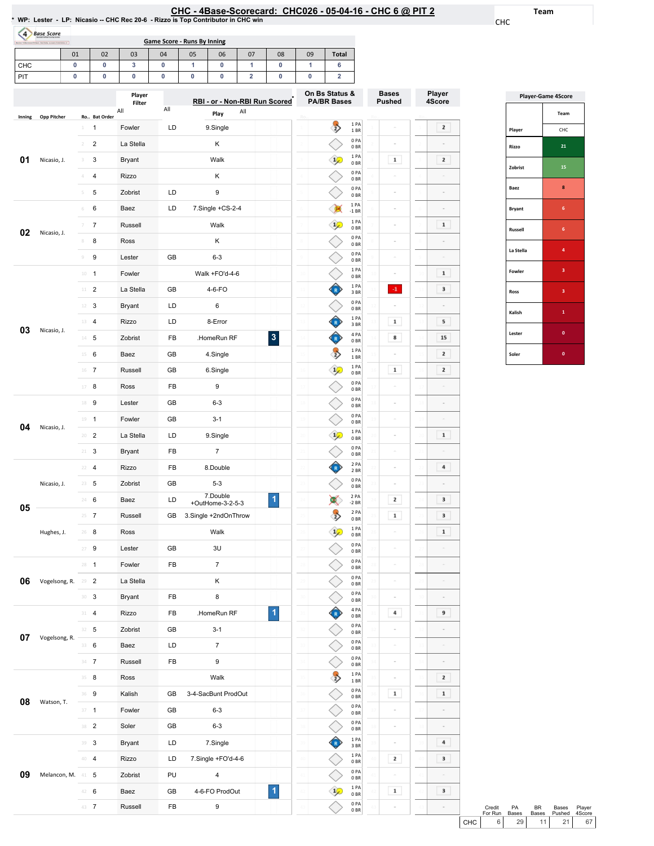Team

CHC

Player 4Score

 $\boxed{2}$ 

 $\boxed{2}$  $\sim$  $\sim$ 

 $\begin{array}{|c|} \hline \textbf{1} \end{array}$  $\sim$  $\sim$  $\boxed{1}$  $\overline{\phantom{a}}$ 

 $5<sub>5</sub>$ 15  $\boxed{2}$  $\boxed{2}$ 

 $\sim$  $\sim$  $\blacksquare$ 

 $\,$  4  $\,$  $\sim$  $\overline{\phantom{a}}$  $\overline{\phantom{a}}$  $\begin{array}{|c|} \hline \textbf{1} \end{array}$ 

 $\sim$  $\sim$  $\mathcal{L}_{\mathcal{L}}$  $\overline{9}$ 

 $\sim$  $\sim$  $\overline{2}$  $\hbox{\bf 1}$  $\mathcal{L}_{\mathcal{L}}$ 

 $\sim$ 

 $\overline{4}$ 

 $\overline{\phantom{a}}$ 

 $\overline{\mathbf{3}}$ 

| (4)    | <b>Base Score</b> |                           |                |                  |     | WP: Lester - LP: Nicasio - CHC Rec 20-6 - Rizzo is Top Contributor in CHC win |                               |                      |    |                                      |                          |                               |                         |
|--------|-------------------|---------------------------|----------------|------------------|-----|-------------------------------------------------------------------------------|-------------------------------|----------------------|----|--------------------------------------|--------------------------|-------------------------------|-------------------------|
|        |                   | 01                        | 02             | 03               | 04  | <b>Game Score - Runs By Inning</b><br>05                                      | 07<br>06                      | 08                   | 09 | Total                                |                          |                               |                         |
| СНС    |                   | 0                         | 0              | 3                | 0   | 1                                                                             | 0<br>1                        | 0                    | 1  | 6                                    |                          |                               |                         |
| PIT    |                   | 0                         | 0              | 0                | 0   | 0                                                                             | 0<br>2                        | 0                    | 0  | $\overline{\mathbf{2}}$              |                          |                               |                         |
|        |                   |                           |                | Player<br>Filter |     |                                                                               | RBI - or - Non-RBI Run Scored |                      |    | On Bs Status &<br><b>PA/BR Bases</b> |                          | <b>Bases</b><br><b>Pushed</b> | Player<br>4Scor         |
| Inning | Opp Pitcher       |                           | Ro Bat Order   | All              | All | Play                                                                          | All                           |                      |    |                                      | 1 PA                     |                               |                         |
|        |                   | $1\,$                     | 1              | Fowler           | LD  | 9.Single                                                                      |                               |                      |    | $\overrightarrow{2}$                 | 1 BR<br>0 PA             |                               | $\mathbf 2$             |
|        |                   | $\mathfrak{D}$            | $\overline{2}$ | La Stella        | Κ   |                                                                               |                               |                      |    | 0 <sub>BR</sub><br>1 PA              |                          |                               |                         |
| 01     | Nicasio, J.       | $\ensuremath{\mathsf{3}}$ | 3              | Bryant           |     | Walk                                                                          |                               |                      |    |                                      | 0BR<br>0PA               | $\mathbf 1$                   | $\mathbf 2$             |
|        |                   |                           | 4              | Rizzo            |     | Κ                                                                             |                               |                      |    |                                      | 0 <sub>BR</sub><br>0PA   |                               |                         |
|        |                   | 5                         | 5              | Zobrist          | LD  | 9                                                                             |                               |                      |    |                                      | 0 BR<br>1 PA             |                               |                         |
|        |                   | 6                         | 6              | Baez             | LD  | 7.Single +CS-2-4                                                              |                               |                      |    |                                      | $-1$ BR                  |                               |                         |
| 02     | Nicasio, J.       | 7                         | $\overline{7}$ | Russell          |     | Walk                                                                          |                               |                      |    | F                                    | 1PA<br>0BR               | ÷                             | $\mathbf 1$             |
|        |                   | 8                         | 8              | Ross             |     | Κ                                                                             |                               |                      |    |                                      | 0PA<br>0BR               | ÷                             |                         |
|        |                   | 9                         | 9              | Lester           | GB  | $6 - 3$                                                                       |                               |                      |    |                                      | 0PA<br>0 BR              | ×                             |                         |
|        |                   | $10 -$                    | $\mathbf{1}$   | Fowler           |     | Walk +FO'd-4-6                                                                |                               |                      |    |                                      | 1 PA<br>0 BR             |                               | $\mathbf 1$             |
|        |                   | 11                        | $\overline{2}$ | La Stella        | GB  | 4-6-FO                                                                        |                               |                      |    | R                                    | 1 PA<br>3 BR             | $\mathbf{-1}$                 | 3                       |
|        | 12                | 3                         | Bryant         | LD               | 6   |                                                                               |                               |                      |    | 0 PA<br>0 BR                         |                          |                               |                         |
| 03     | Nicasio, J.       | 13                        | 4              | Rizzo            | LD  | 8-Error                                                                       |                               |                      |    |                                      | 1 PA<br>3 BR             | 1                             | 5                       |
|        |                   | $14 -$                    | 5              | Zobrist          | FB  | .HomeRun RF                                                                   |                               | $\mathbf 3$          |    |                                      | 4 PA<br>0 BR             | 8                             | 15                      |
|        |                   | 15                        | 6              | Baez             | GB  | 4.Single                                                                      |                               |                      |    | $\Rightarrow$                        | 1PA<br>1 BR              |                               | $\mathbf 2$             |
|        |                   |                           | 16 7           | Russell          | GB  | 6.Single                                                                      |                               |                      |    | $1\sqrt{ }$                          | 1PA<br>0 BR              | $\mathbf 1$                   | $\overline{\mathbf{z}}$ |
|        |                   | 17                        | 8              | Ross             | FB  | 9                                                                             |                               |                      |    |                                      | 0PA<br>0 BR              |                               |                         |
|        |                   |                           | 18 9           | Lester           | GB  | $6 - 3$                                                                       |                               |                      |    |                                      | 0 PA<br>0 <sub>BR</sub>  | $\sim$                        |                         |
| 04     | Nicasio, J.       | 19                        | $\mathbf{1}$   | Fowler           | GB  | $3 - 1$                                                                       |                               |                      |    |                                      | 0 PA<br>0BR              | ÷                             |                         |
|        |                   |                           | $20 - 2$       | La Stella        | LD  | 9.Single                                                                      |                               |                      |    | 攻                                    | 1 PA<br>0 BR             |                               | $\mathbf 1$             |
|        |                   |                           | 3              | <b>Bryant</b>    | FB  | $\overline{7}$                                                                |                               |                      |    |                                      | 0 PA<br>0 BR             |                               |                         |
|        |                   |                           | $22 - 4$       | Rizzo            | FB  | 8.Double                                                                      |                               |                      |    |                                      | 2 PA<br>2 BR             |                               | 4                       |
|        | Nicasio, J.       |                           | $23 \t 5$      | Zobrist          | GB  | $5 - 3$                                                                       |                               |                      |    |                                      | 0 PA<br>0BR              | ÷                             |                         |
| 05     |                   |                           | 24 6           | Baez             | LD  | 7.Double<br>+OutHome-3-2-5-3                                                  |                               | $\blacktriangleleft$ |    |                                      | 2 PA<br>$-2$ BR          | $\mathbf{2}$                  | 3                       |
|        |                   |                           | $25 \t 7$      | Russell          | GB  | 3.Single +2ndOnThrow                                                          |                               |                      |    | $\overline{2}$                       | 2 PA<br>0 BR             | $\mathbf 1$                   | 3                       |
|        | Hughes, J.        |                           | $26$ 8         | Ross             |     | Walk                                                                          |                               |                      |    |                                      | 1PA<br>0 BR              |                               | $\mathbf 1$             |
|        |                   |                           | $27 - 9$       | Lester           | GB  | 3U                                                                            |                               |                      |    |                                      | 0 PA<br>0 BR             | $\sim$                        |                         |
|        |                   |                           | $28 - 1$       | Fowler           | FB  | $\overline{7}$                                                                |                               |                      |    |                                      | 0PA<br>0B                | ÷                             |                         |
| 06     | Vogelsong, R.     | $29 - 2$                  |                | La Stella        |     | Κ                                                                             |                               |                      |    |                                      | 0PA<br>0B                | $\equiv$                      |                         |
|        |                   |                           | $30-3$         | Bryant           | FB  | 8                                                                             |                               |                      |    |                                      | 0 PA<br>$0\;\mathrm{BR}$ | $\sim$                        |                         |
|        |                   |                           | $31 - 4$       | Rizzo            | FB  | .HomeRun RF                                                                   |                               | 1                    |    |                                      | 4 PA<br>0B               | 4                             | 9                       |
|        |                   |                           | $32 - 5$       | Zobrist          | GB  | $3 - 1$                                                                       |                               |                      |    |                                      | 0 PA<br>0B               | è                             |                         |
| 07     | Vogelsong, R.     |                           | 33 6           | Baez             | LD  | $\overline{7}$                                                                |                               |                      |    |                                      | 0 PA<br>0B               | ò,                            |                         |
|        |                   |                           | $34 - 7$       | Russell          | FB  | 9                                                                             |                               |                      |    |                                      | 0 PA<br>0B               | ÷                             |                         |
|        |                   |                           | $35 \t 8$      | Ross             |     | Walk                                                                          |                               |                      |    | $\overline{2}$                       | 1PA<br>$1\,\mathrm{BR}$  |                               | 2                       |
|        |                   |                           | 36 9           | Kalish           | GB  | 3-4-SacBunt ProdOut                                                           |                               |                      |    |                                      | 0 PA<br>0 BR             | $\mathbf 1$                   | $\mathbf 1$             |
| 08     | Watson, T.        |                           | $37 - 1$       | Fowler           | GB  | $6 - 3$                                                                       |                               |                      |    |                                      | 0 PA<br>0 <sub>BR</sub>  |                               |                         |

1

0PA 0BR 0PA 0BR 1PA 3BR  $\begin{array}{c} 1 \ \text{PA} \ 0 \ \text{BR} \end{array}$ 0PA 0BR 1PA 0BR 0PA 0BR

◇

 $\Diamond$ 

 $\hat{\bullet}$ 

 $\Diamond$ 

 $\Diamond$  $\mathbf{1}$ 

 $\Diamond$ 

 $\sim$ 

 $\sim$ 

 $\boxed{2}$ 

 $\| \mathbf{1} \|$ 

38 2 Soler GB 6-3

 3 Bryant LD 7.Single 4 Rizzo LD 7.Single+FO'd-4-6 Zobrist PU 4 6 Baez GB 4-6-FOProdOut 7 Russell FB 9

**09** Melancon, M. 41 5

|                | <b>Player-Game 4Score</b> |
|----------------|---------------------------|
|                | Team                      |
| Player         | CHC                       |
| Rizzo          | 21                        |
| Zobrist        | 15                        |
| Baez           | 8                         |
| <b>Bryant</b>  | 6                         |
| <b>Russell</b> | 6                         |
| La Stella      | 4                         |
| Fowler         | 3                         |
| Ross           | 3                         |
| Kalish         | 1                         |
| Lester         | $\bf{0}$                  |
| Soler          | 0                         |

|       | Credit<br>For Run | <b>PA</b><br><b>Bases</b> | RR              | <b>Bases</b><br>Bases Pushed 4Score | Plaver |  |
|-------|-------------------|---------------------------|-----------------|-------------------------------------|--------|--|
| CHC I |                   | 29 <sub>1</sub>           | 11 <sup>1</sup> | 21 <sup>1</sup>                     | 67     |  |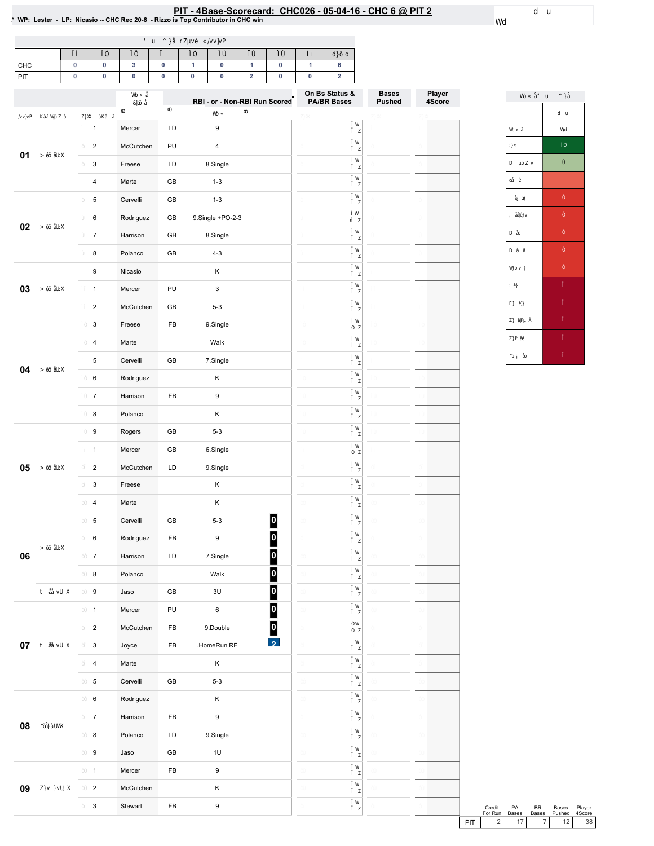# PIT - 4Base-Scorecard: CHC026 - 05-04-16 - CHC 6 @ PIT 2<br>\* WP: Lester - LP: Nicasio -- CHC Rec 20-6 - Rizzo is Top Contributor in CHC win

| CHC |  |  |  |  |  |
|-----|--|--|--|--|--|
| PIT |  |  |  |  |  |

|        |                         |           |            | RBI - or - Non-RBI Run Scored |                         | On Bs Status &<br><b>PA/BR Bases</b> | <b>Bases</b><br><b>Pushed</b> | Player<br>4Score |
|--------|-------------------------|-----------|------------|-------------------------------|-------------------------|--------------------------------------|-------------------------------|------------------|
|        | $\mathbf{1}$            | Mercer    | LD         | 9                             |                         |                                      |                               |                  |
|        | $\overline{c}$          | McCutchen | PU         | 4                             |                         |                                      |                               |                  |
| 01     | 3                       | Freese    | LD         | 8.Single                      |                         |                                      |                               |                  |
|        | 4                       | Marte     | GB         | $1 - 3$                       |                         |                                      |                               |                  |
|        | 5                       | Cervelli  | GB         | $1 - 3$                       |                         |                                      |                               |                  |
|        | 6                       | Rodriguez | GB         | 9.Single +PO-2-3              |                         |                                      |                               |                  |
| 02     | $\boldsymbol{7}$        | Harrison  | GB         | 8.Single                      |                         |                                      |                               |                  |
|        | 8                       | Polanco   | GB         | $4 - 3$                       |                         |                                      |                               |                  |
|        | 9                       | Nicasio   |            | Κ                             |                         |                                      |                               |                  |
| 03     | $\mathbf{1}$            | Mercer    | PU         | $\ensuremath{\mathsf{3}}$     |                         |                                      |                               |                  |
|        | $\overline{c}$          | McCutchen | GB         | $5 - 3$                       |                         |                                      |                               |                  |
|        | 3                       | Freese    | FB         | 9.Single                      |                         |                                      |                               |                  |
|        | $\overline{\mathbf{4}}$ | Marte     |            | Walk                          |                         |                                      |                               |                  |
|        | 5                       | Cervelli  | GB         | 7.Single                      |                         |                                      |                               |                  |
| 04     | 6                       | Rodriguez |            | Κ                             |                         |                                      |                               |                  |
|        | $\overline{7}$          | Harrison  | FB         | 9                             |                         |                                      |                               |                  |
|        | 8                       | Polanco   |            | Κ                             |                         |                                      |                               |                  |
|        | 9                       | Rogers    | GB         | $5 - 3$                       |                         |                                      |                               |                  |
|        | $\mathbf{1}$            | Mercer    | GB         | 6.Single                      |                         |                                      |                               |                  |
| 05     | $\overline{\mathbf{c}}$ | McCutchen | LD         | 9.Single                      |                         |                                      |                               |                  |
|        | 3                       | Freese    |            | Κ                             |                         |                                      |                               |                  |
|        | $\overline{\mathbf{4}}$ | Marte     |            | Κ                             |                         |                                      |                               |                  |
|        | 5                       | Cervelli  | GB         | $5 - 3$                       | $\boldsymbol{0}$        |                                      |                               |                  |
|        | 6                       | Rodriguez | FB         | 9                             | $\overline{\mathbf{0}}$ |                                      |                               |                  |
| 06     | $\boldsymbol{7}$        | Harrison  | LD         | 7.Single                      | $\overline{\mathbf{0}}$ |                                      |                               |                  |
|        | 8                       | Polanco   |            | Walk                          | $\overline{\mathbf{0}}$ |                                      |                               |                  |
|        | 9                       | Jaso      | ${\sf GB}$ | 3U                            | $\boxed{0}$             |                                      |                               |                  |
|        | $\mathbf{1}$            | Mercer    | PU         | $\,6\,$                       | $\boxed{0}$             |                                      |                               |                  |
|        | $\overline{2}$          | McCutchen | FB         | 9.Double                      | $\boldsymbol{0}$        |                                      |                               |                  |
| $07\,$ | $\mathsf 3$             | Joyce     | FB         | .HomeRun RF                   |                         |                                      |                               |                  |
|        | $\overline{\mathbf{4}}$ | Marte     |            | Κ                             |                         |                                      |                               |                  |
|        | $\overline{5}$          | Cervelli  | GB         | $5 - 3$                       |                         |                                      |                               |                  |
|        | $\mathbf 6$             | Rodriguez |            | Κ                             |                         |                                      |                               |                  |
| 08     | $\boldsymbol{7}$        | Harrison  | ${\sf FB}$ | $\boldsymbol{9}$              |                         |                                      |                               |                  |
|        | 8                       | Polanco   | LD         | 9.Single                      |                         |                                      |                               |                  |
|        | $\boldsymbol{9}$        | Jaso      | GB         | $1\mathsf{U}$                 |                         |                                      |                               |                  |
|        | $\mathbf{1}$            | Mercer    | ${\sf FB}$ | $\boldsymbol{9}$              |                         |                                      |                               |                  |
| 09     | $\overline{2}$          | McCutchen |            | Κ                             |                         |                                      |                               |                  |
|        | $\mathbf{3}$            | Stewart   | ${\sf FB}$ | $\boldsymbol{9}$              |                         |                                      |                               |                  |

Credit PA BR Bases Player<br>
ForRun Bases Bases Pushed 4Score<br>
PIT 2 17 7 12 38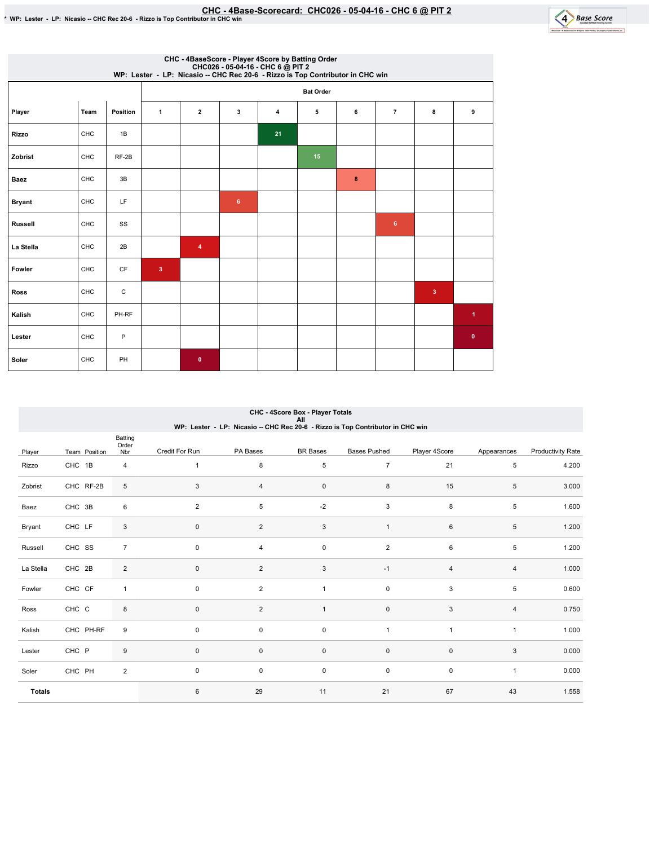

|                | CHC - 4BaseScore - Player 4Score by Batting Order<br>CHC026 - 05-04-16 - CHC 6 @ PIT 2<br>WP: Lester - LP: Nicasio -- CHC Rec 20-6 - Rizzo is Top Contributor in CHC win |             |                         |                    |                |                |    |   |                |              |             |  |  |
|----------------|--------------------------------------------------------------------------------------------------------------------------------------------------------------------------|-------------|-------------------------|--------------------|----------------|----------------|----|---|----------------|--------------|-------------|--|--|
|                |                                                                                                                                                                          |             | <b>Bat Order</b>        |                    |                |                |    |   |                |              |             |  |  |
| Player         | Team                                                                                                                                                                     | Position    | $\mathbf{1}$            | $\mathbf{2}$       | 3              | $\overline{4}$ | 5  | 6 | $\overline{7}$ | 8            | 9           |  |  |
| <b>Rizzo</b>   | CHC                                                                                                                                                                      | 1B          |                         |                    |                | 21             |    |   |                |              |             |  |  |
| Zobrist        | CHC                                                                                                                                                                      | $RF-2B$     |                         |                    |                |                | 15 |   |                |              |             |  |  |
| Baez           | CHC                                                                                                                                                                      | 3B          |                         |                    |                |                |    | 8 |                |              |             |  |  |
| <b>Bryant</b>  | CHC                                                                                                                                                                      | LF          |                         |                    | $6\phantom{a}$ |                |    |   |                |              |             |  |  |
| <b>Russell</b> | CHC                                                                                                                                                                      | SS          |                         |                    |                |                |    |   | 6 <sup>5</sup> |              |             |  |  |
| La Stella      | CHC                                                                                                                                                                      | 2B          |                         | $\overline{\bf 4}$ |                |                |    |   |                |              |             |  |  |
| Fowler         | CHC                                                                                                                                                                      | CF          | $\overline{\mathbf{3}}$ |                    |                |                |    |   |                |              |             |  |  |
| Ross           | CHC                                                                                                                                                                      | $\mathsf C$ |                         |                    |                |                |    |   |                | $\mathbf{3}$ |             |  |  |
| Kalish         | CHC                                                                                                                                                                      | PH-RF       |                         |                    |                |                |    |   |                |              | 1           |  |  |
| Lester         | CHC                                                                                                                                                                      | P           |                         |                    |                |                |    |   |                |              | $\mathbf 0$ |  |  |
| Soler          | CHC                                                                                                                                                                      | PH          |                         | $\mathbf 0$        |                |                |    |   |                |              |             |  |  |

### Player Team Position Batting Order<br>Nbr Credit For Run PA Bases BR Bases Bases Pushed Player 4Score Appearances Productivity Rate Rizzo CHC 1B 4 Zobrist CHC RF-2B 5 Baez CHC 3B 6 Bryant CHC LF 3 Russell CHC SS 7 La Stella CHC 2B 2 Fowler CHC CF 1 Ross CHC C 8 Kalish CHC PH-RF 9 Lester CHC P 9 Soler CHC PH 2 Totals 1 8 5 7 21 5 4.200 3 4 0 8 15 5 3.000 2 5 5 -2 3 8 5 1.600 0 2 3 1 6 5 1.200 0 4 0 2 6 5 1.200 0 2 3 -1 4 4 1.000 0 2 1 0 3 5 0.600 0 2 1 0 3 4 0.750 0 0 0 1 1 1 1 1.000  $0$  0 0 0 0 0  $3$  0.000 0 0 0 0 0 0 1 0.000 6 29 11 21 67 43 1.558 CHC - 4Score Box - Player Totals All<br>WP: Lester - LP: Nicasio -- CHC Rec 20-6 - Rizzo is Top Contributor in CHC win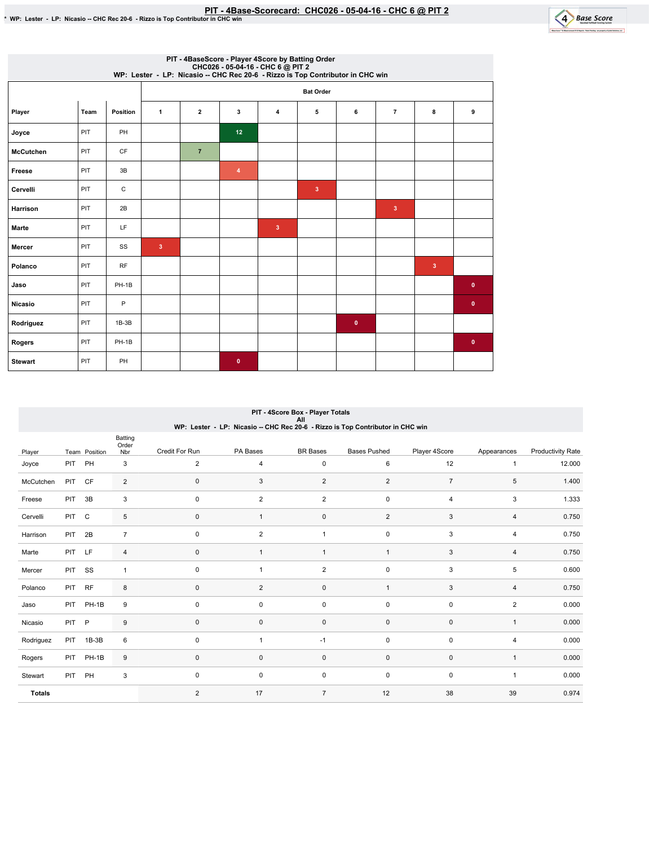

|                  | PIT - 4BaseScore - Player 4Score by Batting Order<br>CHC026 - 05-04-16 - CHC 6 @ PIT 2<br>WP: Lester - LP: Nicasio -- CHC Rec 20-6 - Rizzo is Top Contributor in CHC win |                 |                         |                |                |                         |              |           |                |                |           |  |
|------------------|--------------------------------------------------------------------------------------------------------------------------------------------------------------------------|-----------------|-------------------------|----------------|----------------|-------------------------|--------------|-----------|----------------|----------------|-----------|--|
|                  |                                                                                                                                                                          |                 | <b>Bat Order</b>        |                |                |                         |              |           |                |                |           |  |
| Player           | Team                                                                                                                                                                     | <b>Position</b> | $\mathbf{1}$            | $\overline{2}$ | 3              | $\overline{4}$          | 5            | 6         | $\overline{7}$ | 8              | 9         |  |
| Joyce            | PIT                                                                                                                                                                      | PH              |                         |                | 12             |                         |              |           |                |                |           |  |
| <b>McCutchen</b> | PIT                                                                                                                                                                      | CF              |                         | $\overline{7}$ |                |                         |              |           |                |                |           |  |
| Freese           | PIT                                                                                                                                                                      | 3B              |                         |                | $\overline{4}$ |                         |              |           |                |                |           |  |
| Cervelli         | PIT                                                                                                                                                                      | C               |                         |                |                |                         | $\mathbf{3}$ |           |                |                |           |  |
| Harrison         | PIT                                                                                                                                                                      | 2B              |                         |                |                |                         |              |           | $\mathbf{3}$   |                |           |  |
| <b>Marte</b>     | PIT                                                                                                                                                                      | LF              |                         |                |                | $\overline{\mathbf{3}}$ |              |           |                |                |           |  |
| Mercer           | PIT                                                                                                                                                                      | SS              | $\overline{\mathbf{3}}$ |                |                |                         |              |           |                |                |           |  |
| Polanco          | PIT                                                                                                                                                                      | <b>RF</b>       |                         |                |                |                         |              |           |                | $\overline{3}$ |           |  |
| Jaso             | PIT                                                                                                                                                                      | PH-1B           |                         |                |                |                         |              |           |                |                | $\bullet$ |  |
| <b>Nicasio</b>   | PIT                                                                                                                                                                      | $\mathsf{P}$    |                         |                |                |                         |              |           |                |                | $\bullet$ |  |
| Rodriguez        | PIT                                                                                                                                                                      | $1B-3B$         |                         |                |                |                         |              | $\bullet$ |                |                |           |  |
| Rogers           | PIT                                                                                                                                                                      | PH-1B           |                         |                |                |                         |              |           |                |                | $\bullet$ |  |
| <b>Stewart</b>   | PIT                                                                                                                                                                      | <b>PH</b>       |                         |                | $\mathbf{0}$   |                         |              |           |                |                |           |  |

### PIT - 4Score Box - Player Totals All<br>WP: Lester - LP: Nicasio -- CHC Rec 20-6 - Rizzo is Top Contributor in CHC win

| Player        |            | Team Position | Batting<br>Order<br>Nbr | Credit For Run | PA Bases       | <b>BR</b> Bases  | <b>Bases Pushed</b> | Player 4Score  | Appearances  | <b>Productivity Rate</b> |
|---------------|------------|---------------|-------------------------|----------------|----------------|------------------|---------------------|----------------|--------------|--------------------------|
| Joyce         | <b>PIT</b> | PH            | 3                       | $\overline{2}$ | 4              | $\mathsf 0$      | 6                   | 12             | $\mathbf{1}$ | 12.000                   |
| McCutchen     | PIT        | CF            | $\overline{2}$          | $\mathbf{0}$   | 3              | $\overline{2}$   | $\overline{2}$      | $\overline{7}$ | 5            | 1.400                    |
| Freese        | <b>PIT</b> | 3B            | 3                       | $\mathbf 0$    | $\overline{2}$ | $\boldsymbol{2}$ | 0                   | $\overline{4}$ | 3            | 1.333                    |
| Cervelli      | PIT        | $\mathsf{C}$  | 5                       | $\pmb{0}$      | $\overline{1}$ | $\pmb{0}$        | $\sqrt{2}$          | 3              | 4            | 0.750                    |
| Harrison      | PIT        | 2B            | $\overline{7}$          | $\mathbf 0$    | $\overline{c}$ | 1                | $\pmb{0}$           | 3              | 4            | 0.750                    |
| Marte         | PIT        | LF            | 4                       | $\pmb{0}$      | 1              | $\mathbf{1}$     | $\mathbf{1}$        | 3              | 4            | 0.750                    |
| Mercer        | <b>PIT</b> | SS            | $\mathbf{1}$            | $\mathbf 0$    | 1              | $\overline{2}$   | 0                   | 3              | 5            | 0.600                    |
| Polanco       | PIT        | <b>RF</b>     | 8                       | $\pmb{0}$      | $\overline{2}$ | $\mathbf 0$      | $\mathbf{1}$        | 3              | 4            | 0.750                    |
| Jaso          |            | PIT PH-1B     | 9                       | $\mathbf 0$    | $\mathbf 0$    | $\pmb{0}$        | $\mathbf 0$         | $\mathbf 0$    | 2            | 0.000                    |
| Nicasio       | <b>PIT</b> | $\mathsf{P}$  | 9                       | $\pmb{0}$      | 0              | $\mathbf 0$      | 0                   | $\mathbf 0$    | $\mathbf{1}$ | 0.000                    |
| Rodriguez     | PIT        | $1B-3B$       | 6                       | $\mathbf 0$    | 1              | $-1$             | 0                   | $\mathbf 0$    | 4            | 0.000                    |
| Rogers        | <b>PIT</b> | PH-1B         | 9                       | $\pmb{0}$      | 0              | $\pmb{0}$        | 0                   | $\mathbf 0$    | $\mathbf{1}$ | 0.000                    |
| Stewart       | PIT        | PH            | 3                       | $\mathbf 0$    | $\mathbf 0$    | $\mathsf 0$      | 0                   | $\mathbf 0$    | $\mathbf{1}$ | 0.000                    |
| <b>Totals</b> |            |               |                         | $\overline{2}$ | 17             | $\overline{7}$   | 12                  | 38             | 39           | 0.974                    |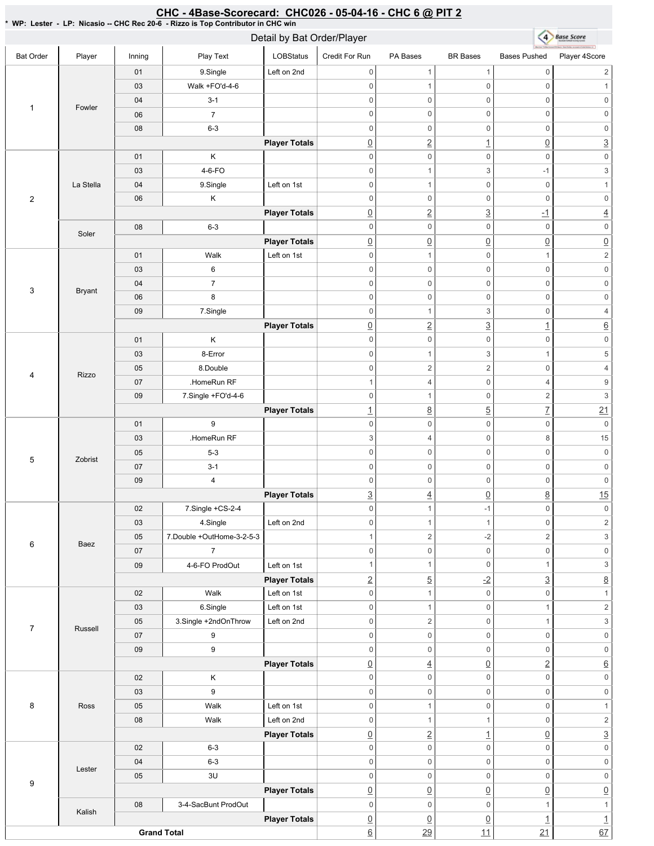#### 4 Base Score Detail by Bat Order/Player Bat Order | Player | Inning | PlayText | LOBStatus Credit For Run PA Bases BR Bases Bases Pushed Player 4Score 01 | 9.Single | Left on 2nd 0 1 1 0 2 03 Walk + FO'd-4-6 0 0 1 0 1 04 3-1 0 0 0 0 0 0 1 Fowler 06 7 0 0 0 0 0 0 08 6-3 0 0 0 0 0 0 **Player Totals** 0 2 1 0 3 01 K 0 0 0 0 0 0 03 4-6-FO 0  $1$  3  $-1$  3 04 9.Single Left on 1st La Stella 0 0 0 1 2 06 K 0 0 0 0 0 0 **Player Totals** 0 2 3 -1 4 08 6-3 0 0 0 0 0 0 Soler **Player Totals**  $\overline{0}$   $\overline{0}$   $\overline{0}$   $\overline{0}$   $\overline{0}$   $\overline{0}$   $\overline{0}$ 01 | Walk Left on 1st 0 1 0 1 2 03 6 0 0 0 0 0 0 04 7 0 0 0 0 0 0 3 Bryant 06 8 0 0 0 0 0 0 09 7.Single 0 1 3 0 4 **Player Totals** 0 2 3 1 6 01 K 0 0 0 0 0 0 03 **8-Error** 0 1 3 1 5 05 **8.Double**  $0 \qquad \qquad 2 \qquad \qquad 2 \qquad \qquad 0 \qquad \qquad 4$ 4 Rizzo 07 **.HomeRun RF** 1 4 0 4 9 09 7.Single +FO'd-4-6 0 1 0 2 3 **Player Totals** 1 8 5 7 21 01 9 0 0 0 0 0 0 03 | HomeRun RF  $3$  4 0 8 15 0 0 0 0 0 0 05 5-3 5 Zobrist 07 3-1 0 0 0 0 0 0 09 4 0 0 0 0 0 0 **Player Totals**  $\frac{3}{2}$   $\frac{4}{2}$   $\frac{0}{2}$   $\frac{8}{2}$   $\frac{15}{2}$ 02 7.Single +CS-2-4 0 1 -1 0 0 03 | 4.Single | Left on 2nd 0 1 1 0 2 05 7.Double+OutHome-3-2-5-3 1  $2$  -2  $2$  3 6 Baez 07 7 0 0 0 0 0 0 09 | 4-6-FO ProdOut | Left on 1st 1  $1$  0 1 3 **Player Totals**  $2$  5  $-2$  3 8 02 | Walk Left on 1st 0 0 1 0 1 03 6.Single Left on 1st 0 1 0 1 2 05 3.Single +2ndOnThrow Left on 2nd 0 2 0 1 3 7 Russell 07 9 0 0 0 0 0 0 09 9 0 0 0 0 0 0 **Player Totals** 0 4 0 2 6 02 K 0 0 0 0 0 0 03 9 0 0 0 0 0 0 8 Ross 05 | Walk Left on 1st 0 0 1 0 1 08 | Walk Left on 2nd 0 1 1 0 2 **Player Totals** 0 2 1 0 3 02 6-3 0 0 0 0 0 0 04 6-3 0 0 0 0 0 0 Lester 05 3U 0 0 0 0 0 0 9 **Player Totals**  $\begin{array}{ccc} \boxed{0} & \boxed{0} & \boxed{0} & \boxed{0} & \boxed{0} \end{array}$ 08 3-4-SacBunt ProdOut  $0 \qquad 0 \qquad 0 \qquad 1 \qquad 1$ Kalish **Player Totals**  $\boxed{0}$   $\boxed{0}$   $\boxed{1}$   $\boxed{1}$

<u>6</u> 29 11 21 67

## CHC - 4Base-Scorecard: CHC026 - 05-04-16 - CHC 6 @ PIT 2

\*WP:Lester-LP:Nicasio--CHCRec20-6-RizzoisTopContributorinCHCwin

**Grand Total**